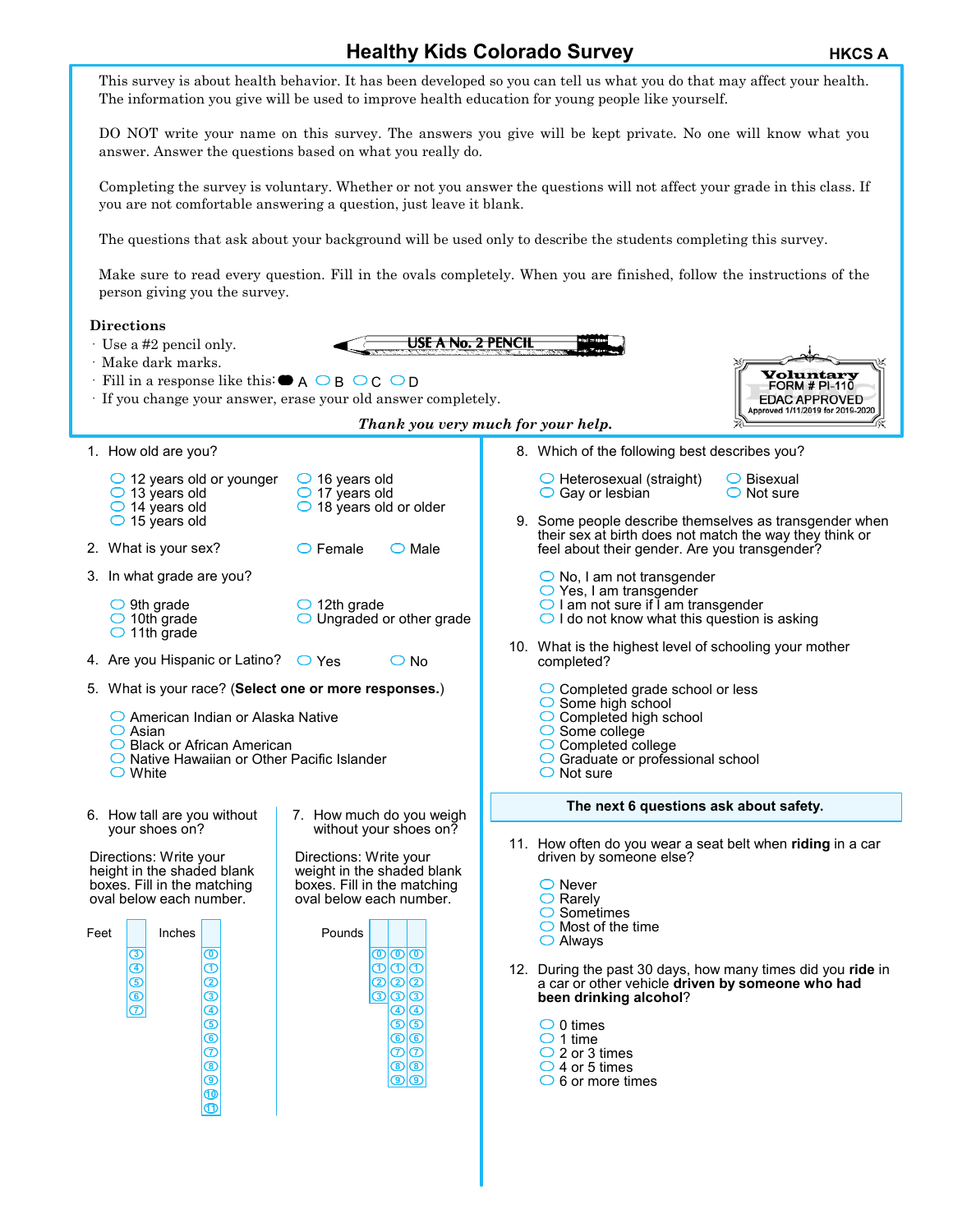**Healthy Kids Colorado Survey <b>HEGG A** HKCS A This survey is about health behavior. It has been developed so you can tell us what you do that may affect your health. The information you give will be used to improve health education for young people like yourself. DO NOT write your name on this survey. The answers you give will be kept private. No one will know what you answer. Answer the questions based on what you really do. Completing the survey is voluntary. Whether or not you answer the questions will not affect your grade in this class. If you are not comfortable answering a question, just leave it blank. The questions that ask about your background will be used only to describe the students completing this survey. Make sure to read every question. Fill in the ovals completely. When you are finished, follow the instructions of the person giving you the survey. **Directions USE A No. 2 PENCIL** · Use a #2 pencil only. · Make dark marks. **Yoluntary**<br>FORM # PI-110  $\cdot$  Fill in a response like this:  $\bullet$  A  $\circ$  B  $\circ$  C  $\circ$  D **EDAC APPROVED** · If you change your answer, erase your old answer completely. Approved 1/11/2019 for 2019-2020 *Thank you very much for your help.* 1. How old are you? 8. Which of the following best describes you?  $\bigcirc$  12 years old or younger  $\bigcirc$  16 years old  $\bigcirc$  Heterosexual (straight) Bisexual  $\bigcirc$  17 years old  $\bigcirc$  13 years old  $\bigcirc$  Gay or lesbian  $\bigcirc$  Not sure  $\bigcirc$  18 years old or older  $\bigcirc$  14 years old  $\bigcirc$  15 years old 9. Some people describe themselves as transgender when their sex at birth does not match the way they think or 2. What is your sex?  $\Box$  Female  $\bigcirc$  Male feel about their gender. Are you transgender? 3. In what grade are you?  $\bigcirc$  No, I am not transgender  $\bigcirc$  Yes, I am transgender  $\bigcirc$  I am not sure if I am transgender  $\bigcirc$  9th grade  $\bigcirc$  12th grade  $\bigcirc$  I do not know what this question is asking  $\bigcirc$  10th grade ◯ Ungraded or other grade  $\bigcirc$  11th grade 10. What is the highest level of schooling your mother 4. Are you Hispanic or Latino?  $\bigcirc$  Yes  $\bigcirc$  No completed? 5. What is your race? (**Select one or more responses.**) ◯ Completed grade school or less  $\bigcirc$  Some high school ◯ American Indian or Alaska Native  $\bigcirc$  Completed high school  $\bigcirc$  Some college  $\bigcirc$  Asian **◯ Black or African American** Completed college ◯ Native Hawaiian or Other Pacific Islander ◯ Graduate or professional school  $\bigcirc$  White  $\bigcirc$  Not sure **The next 6 questions ask about safety.** 6. How tall are you without 7. How much do you weigh your shoes on? without your shoes on? 11. How often do you wear a seat belt when **riding** in a car Directions: Write your Directions: Write your driven by someone else? height in the shaded blank weight in the shaded blank boxes. Fill in the matching boxes. Fill in the matching ◯ Never  $\bigcirc$  Rarely oval below each number. oval below each number.  $\bigcirc$  Sometimes  $\bigcirc$  Most of the time Feet Inches Pounds Always **3 0 0 0 0 4 1 1 1 1** 12. During the past 30 days, how many times did you **ride** in **5 2 2 2 2** a car or other vehicle **driven by someone who had 6 3 been drinking alcohol**? **3 3 3 4 4 4 5**  $\bigcirc$  0 times **5 5 6**  $\bigcirc$  1 time  $\bar{\bm{x}}$  $\bar{\bm{\Phi}}$  $\varpi$ ◯ 2 or 3 times **8 8 8**  $\bigcirc$  4 or 5 times **9**  $\bigcirc$  6 or more times **9 9 10 11**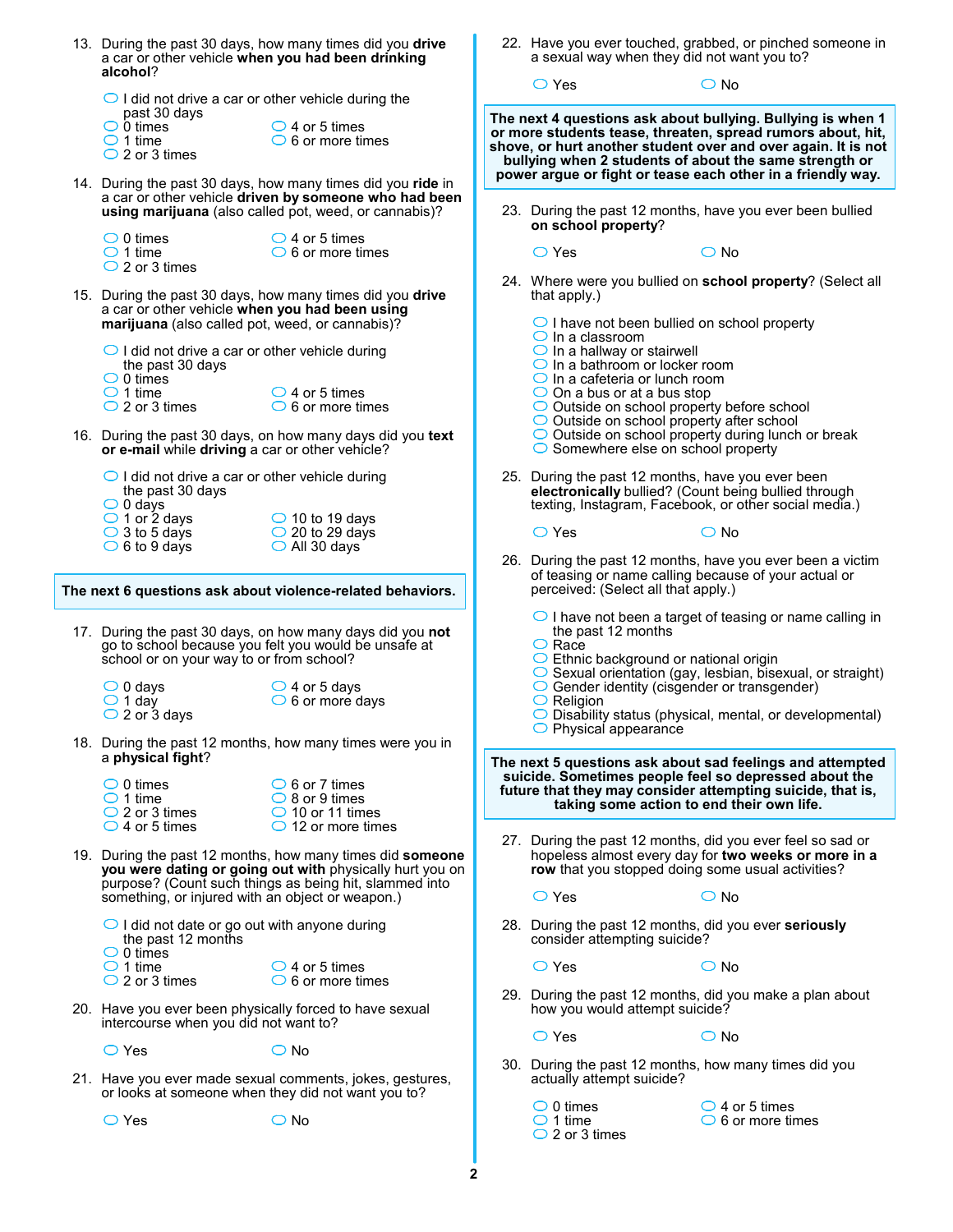| 13. During the past 30 days, how many times did you drive<br>a car or other vehicle when you had been drinking<br>alcohol? |                                                                                                                                                                                 |                                                    | 22. Have you ever touched, grabbed, or pinched someone in<br>a sexual way when they did not want you to?                                                                                                                                              |                         |
|----------------------------------------------------------------------------------------------------------------------------|---------------------------------------------------------------------------------------------------------------------------------------------------------------------------------|----------------------------------------------------|-------------------------------------------------------------------------------------------------------------------------------------------------------------------------------------------------------------------------------------------------------|-------------------------|
| $\bigcirc$ I did not drive a car or other vehicle during the                                                               |                                                                                                                                                                                 | $\bigcirc$ Yes                                     | $\bigcirc$ No                                                                                                                                                                                                                                         |                         |
| past 30 days<br>$\bigcirc$ 0 times<br>$\bigcirc$ 1 time<br>$\bigcirc$ 2 or 3 times                                         | $\bigcirc$ 4 or 5 times<br>$\circ$ 6 or more times                                                                                                                              |                                                    | The next 4 questions ask about bullying. Bullying is when 1<br>or more students tease, threaten, spread rumors about, hit,<br>shove, or hurt another student over and over again. It is not<br>bullying when 2 students of about the same strength or |                         |
|                                                                                                                            | 14. During the past 30 days, how many times did you ride in<br>a car or other vehicle driven by someone who had been<br>using marijuana (also called pot, weed, or cannabis)?   | on school property?                                | power argue or fight or tease each other in a friendly way.<br>23. During the past 12 months, have you ever been bullied                                                                                                                              |                         |
| $\bigcirc$ 0 times<br>$\bigcirc$ 1 time<br>$\bigcirc$ 2 or 3 times                                                         | $\bigcirc$ 4 or 5 times<br>$\bigcirc$ 6 or more times                                                                                                                           | $\bigcirc$ Yes                                     | $\bigcirc$ No                                                                                                                                                                                                                                         |                         |
| a car or other vehicle when you had been using<br>marijuana (also called pot, weed, or cannabis)?                          | 15. During the past 30 days, how many times did you drive                                                                                                                       | that apply.)<br>$\bigcirc$ In a classroom          | 24. Where were you bullied on school property? (Select all<br>$\bigcirc$ I have not been bullied on school property                                                                                                                                   |                         |
| $\bigcirc$ I did not drive a car or other vehicle during<br>the past 30 days<br>$\bigcirc$ 0 times<br>$\bigcirc$ 1 time    | $\bigcirc$ 4 or 5 times                                                                                                                                                         | $\bigcirc$ In a hallway or stairwell               | $\bigcirc$ In a bathroom or locker room<br>$\bigcirc$ In a cafeteria or lunch room<br>$\bigcirc$ On a bus or at a bus stop                                                                                                                            |                         |
| $\bigcirc$ 2 or 3 times<br>or e-mail while driving a car or other vehicle?                                                 | $\bigcirc$ 6 or more times<br>16. During the past 30 days, on how many days did you text                                                                                        |                                                    | O Outside on school property before school<br>$\bigcirc$ Outside on school property after school<br>O Outside on school property during lunch or break<br>$\circ$ Somewhere else on school property                                                   |                         |
| $\bigcirc$ I did not drive a car or other vehicle during<br>the past 30 days<br>$\bigcirc$ 0 days                          |                                                                                                                                                                                 |                                                    | 25. During the past 12 months, have you ever been<br>electronically bullied? (Count being bullied through<br>texting, Instagram, Facebook, or other social media.)                                                                                    |                         |
| $\bigcirc$ 1 or 2 days<br>$\bigcirc$ 3 to 5 days<br>$\circ$ 6 to 9 days                                                    | $\bigcirc$ 10 to 19 days<br>$\bigcirc$ 20 to 29 days<br>$\bigcirc$ All 30 days                                                                                                  | $\bigcirc$ Yes                                     | $\bigcirc$ No<br>26. During the past 12 months, have you ever been a victim                                                                                                                                                                           |                         |
|                                                                                                                            | The next 6 questions ask about violence-related behaviors.                                                                                                                      |                                                    | of teasing or name calling because of your actual or<br>perceived: (Select all that apply.)                                                                                                                                                           |                         |
| school or on your way to or from school?                                                                                   | 17. During the past 30 days, on how many days did you not<br>go to school because you felt you would be unsafe at                                                               | the past 12 months<br>$\bigcirc$ Race              | $\bigcirc$ I have not been a target of teasing or name calling in<br>◯ Ethnic background or national origin<br>$\circ$ Sexual orientation (gay, lesbian, bisexual, or straight)                                                                       |                         |
| $\bigcirc$ 0 days<br>$\bigcirc$ 1 day<br>$\bigcirc$ 2 or 3 days                                                            | $\bigcirc$ 4 or 5 days<br>$\circ$ 6 or more days                                                                                                                                | $\circ$ Religion<br>$\bigcirc$ Physical appearance | $\bigcirc$ Gender identity (cisgender or transgender)<br>$\bigcirc$ Disability status (physical, mental, or developmental)                                                                                                                            |                         |
| a physical fight?<br>$\bigcirc$ 0 times                                                                                    | 18. During the past 12 months, how many times were you in<br>$\bigcirc$ 6 or 7 times                                                                                            |                                                    | The next 5 questions ask about sad feelings and attempted<br>suicide. Sometimes people feel so depressed about the                                                                                                                                    |                         |
| $\bigcirc$ 1 time<br>$\bigcirc$ 2 or 3 times<br>$\bigcirc$ 4 or 5 times                                                    | $\bigcirc$ 8 or 9 times<br>$\bigcirc$ 10 or 11 times<br>$\bigcirc$ 12 or more times                                                                                             |                                                    | future that they may consider attempting suicide, that is,<br>taking some action to end their own life.                                                                                                                                               |                         |
| something, or injured with an object or weapon.)                                                                           | 19. During the past 12 months, how many times did someone<br>you were dating or going out with physically hurt you on<br>purpose? (Count such things as being hit, slammed into | $\bigcirc$ Yes                                     | 27. During the past 12 months, did you ever feel so sad or<br>hopeless almost every day for two weeks or more in a<br>row that you stopped doing some usual activities?<br>$\bigcirc$ No                                                              |                         |
| O I did not date or go out with anyone during<br>the past 12 months<br>$\bigcirc$ 0 times                                  |                                                                                                                                                                                 |                                                    | 28. During the past 12 months, did you ever seriously<br>consider attempting suicide?                                                                                                                                                                 |                         |
| $\bigcirc$ 1 time<br>$\bigcirc$ 2 or 3 times                                                                               | $\bigcirc$ 4 or 5 times<br>$\circ$ 6 or more times                                                                                                                              | $\bigcirc$ Yes                                     | $\bigcirc$ No<br>29. During the past 12 months, did you make a plan about                                                                                                                                                                             |                         |
| 20. Have you ever been physically forced to have sexual<br>intercourse when you did not want to?                           |                                                                                                                                                                                 | $\bigcirc$ Yes                                     | how you would attempt suicide?<br>$\bigcirc$ No                                                                                                                                                                                                       |                         |
| $\bigcirc$ Yes                                                                                                             | $\bigcirc$ No                                                                                                                                                                   |                                                    | 30. During the past 12 months, how many times did you                                                                                                                                                                                                 |                         |
| 21. Have you ever made sexual comments, jokes, gestures,<br>or looks at someone when they did not want you to?             |                                                                                                                                                                                 | actually attempt suicide?<br>$\bigcirc$ 0 times    | $\bigcirc$ 4 or 5 times                                                                                                                                                                                                                               |                         |
| $\bigcirc$ Yes                                                                                                             | $\bigcirc$ No                                                                                                                                                                   | $\bigcirc$ 1 time<br>$\bigcirc$ 2 or 3 times       |                                                                                                                                                                                                                                                       | $\circ$ 6 or more times |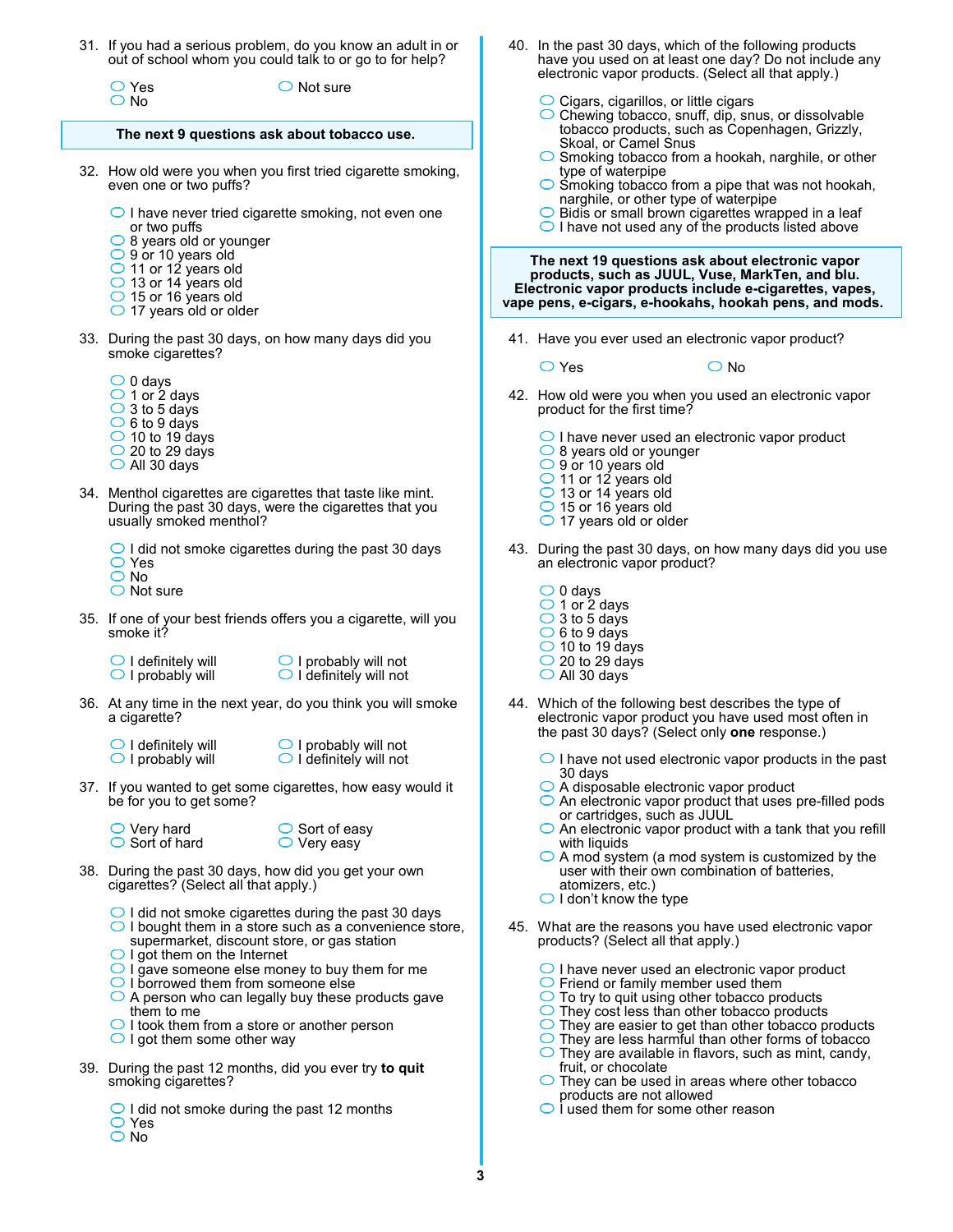31. If you had a serious problem, do you know an adult in or out of school whom you could talk to or go to for help?

Yes O No

 $\bigcirc$  Not sure

## **The next 9 questions ask about tobacco use.**

- 32. How old were you when you first tried cigarette smoking, even one or two puffs?
	- $\bigcirc$  I have never tried cigarette smoking, not even one or two puffs
	- $\bigcirc$  8 years old or younger
	- 9 or 10 years old
	- 11 or 12 years old
	- $\bigcirc$  13 or 14 years old 15 or 16 years old
	- $\bigcirc$  17 years old or older
- 33. During the past 30 days, on how many days did you smoke cigarettes?
	- $\bigcirc$  0 days  $\bigcirc$  1 or 2 days
	- $\bigcirc$  3 to 5 days
	- $\circ$  6 to 9 days
	- $\bigcirc$  10 to 19 days
	- $\bigcirc$  20 to 29 days
	- All 30 days
- 34. Menthol cigarettes are cigarettes that taste like mint. During the past 30 days, were the cigarettes that you usually smoked menthol?

 $\bigcirc$  I did not smoke cigarettes during the past 30 days Yes

- O No
- ◯ Not sure
- 35. If one of your best friends offers you a cigarette, will you smoke it?
	- $\bigcirc$  I definitely will  $\bigcirc$  I probably will
		- $\bigcirc$  I probably will not  $\bigcirc$  I definitely will not
- 36. At any time in the next year, do you think you will smoke a cigarette?
	- $\bigcirc$  I definitely will  $\bigcirc$  I probably will

 $\bigcirc$  I probably will not  $\bigcirc$  I definitely will not

- 37. If you wanted to get some cigarettes, how easy would it be for you to get some?
	- $\bigcirc$  Very hard  $\bigcirc$  Sort of hard

 $\bigcirc$  Sort of easy  $\bigcirc$  Very easy

- 38. During the past 30 days, how did you get your own cigarettes? (Select all that apply.)
	- $\bigcirc$  I did not smoke cigarettes during the past 30 days
	- $\bigcirc$  I bought them in a store such as a convenience store, supermarket, discount store, or gas station
	- $\bigcirc$  I got them on the Internet
	- $\bigcirc$  I gave someone else money to buy them for me
	- O I borrowed them from someone else
	- $\bigcirc$  A person who can legally buy these products gave them to me
	- $\bigcirc$  I took them from a store or another person
	- $\bigcirc$  I got them some other way
- 39. During the past 12 months, did you ever try **to quit** smoking cigarettes?

 $\bigcirc$  I did not smoke during the past 12 months Yes

O No

- 40. In the past 30 days, which of the following products have you used on at least one day? Do not include any electronic vapor products. (Select all that apply.)
	- $\bigcirc$  Cigars, cigarillos, or little cigars
	- $\bigcirc$  Chewing tobacco, snuff, dip, snus, or dissolvable tobacco products, such as Copenhagen, Grizzly, Skoal, or Camel Snus
	- $\bigcirc$  Smoking tobacco from a hookah, narghile, or other type of waterpipe
	- Smoking tobacco from a pipe that was not hookah, narghile, or other type of waterpipe
	- $\bigcirc$  Bidis or small brown cigarettes wrapped in a leaf  $\bigcirc$  I have not used any of the products listed above

**The next 19 questions ask about electronic vapor products, such as JUUL, Vuse, MarkTen, and blu. Electronic vapor products include e-cigarettes, vapes, vape pens, e-cigars, e-hookahs, hookah pens, and mods.** 

41. Have you ever used an electronic vapor product?

 $\overline{\bigcirc}$  Yes  $\overline{\bigcirc}$  No

 42. How old were you when you used an electronic vapor product for the first time?

O I have never used an electronic vapor product

- 8 years old or younger
- 9 or 10 years old
- ◯ 11 or 12 years old
- 13 or 14 years old
- 15 or 16 years old  $\bigcirc$  17 years old or older
- 
- 43. During the past 30 days, on how many days did you use an electronic vapor product?
	- $\bigcirc$  0 days  $\bigcirc$  1 or 2 days  $\bigcirc$  3 to 5 days  $\circ$  6 to 9 days
	- $\bigcirc$  10 to 19 days
	- $\bigcirc$  20 to 29 days
	- All 30 days
- 44. Which of the following best describes the type of electronic vapor product you have used most often in the past 30 days? (Select only **one** response.)
	- $\bigcirc$  I have not used electronic vapor products in the past 30 days
	- A disposable electronic vapor product
	- $\bigcirc$  An electronic vapor product that uses pre-filled pods or cartridges, such as JUUL
	- $\bigcirc$  An electronic vapor product with a tank that you refill with liquids
	- $\bigcirc$  A mod system (a mod system is customized by the user with their own combination of batteries, atomizers, etc.)
	- $\bigcirc$  I don't know the type
- 45. What are the reasons you have used electronic vapor products? (Select all that apply.)
	- $\bigcirc$  I have never used an electronic vapor product
	- $\bigcirc$  Friend or family member used them
	- $\bigcirc$  To try to quit using other tobacco products
	- $\bigcirc$  They cost less than other tobacco products
	- $\bigcirc$ They are easier to get than other tobacco products
	- $\bigcirc$  They are less harmful than other forms of tobacco
	- $\bigcirc$ They are available in flavors, such as mint, candy, fruit, or chocolate
	- $\bigcirc$  They can be used in areas where other tobacco products are not allowed
	- $\bigcirc$  i used them for some other reason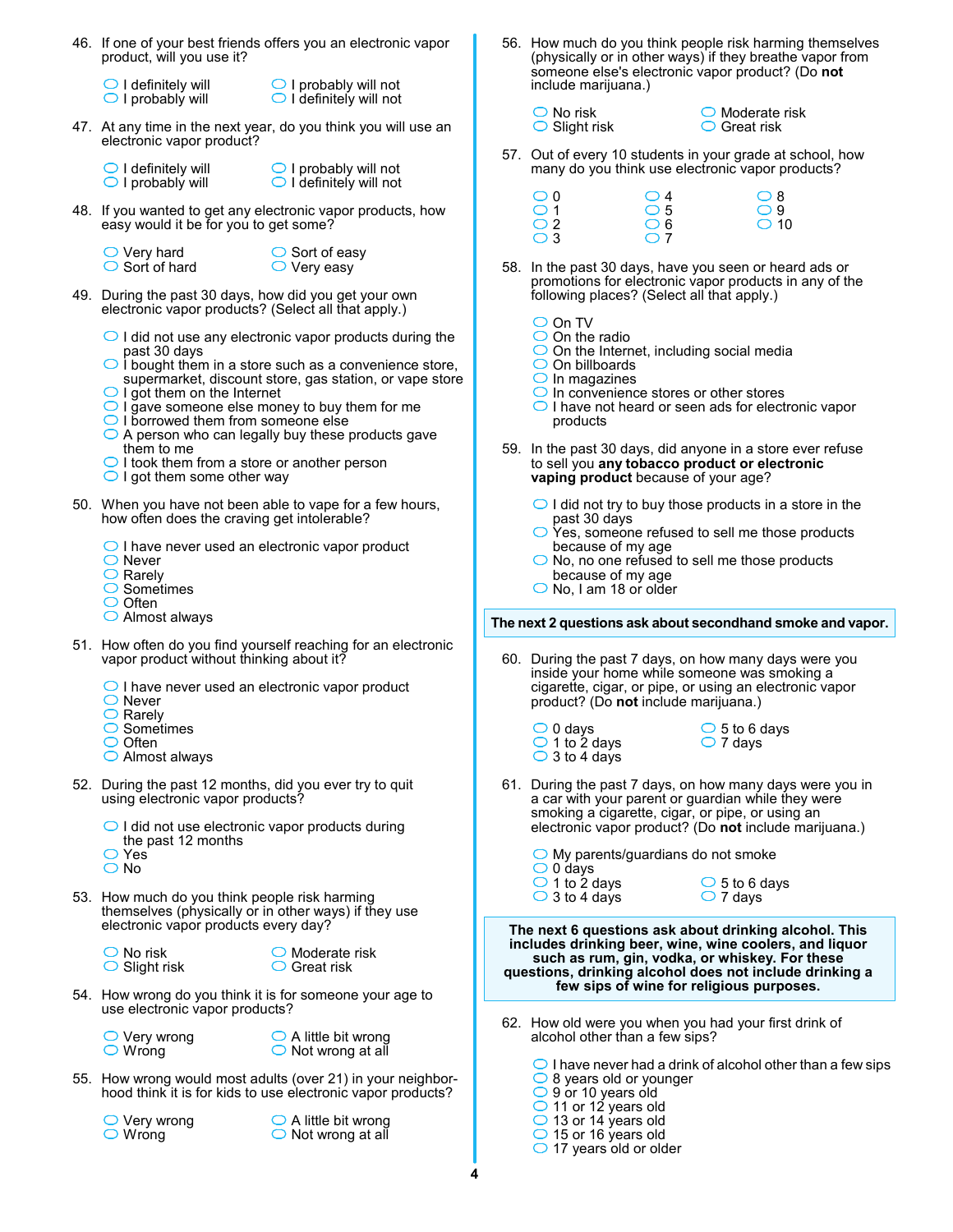- 46. If one of your best friends offers you an electronic vapor product, will you use it?
	- $\bigcirc$  I definitely will  $\bigcirc$  I probably will
- $\bigcirc$  I probably will not  $\bigcirc$  I definitely will not
- 47. At any time in the next year, do you think you will use an electronic vapor product?
	- $\bigcirc$  I definitely will  $\bigcirc$  I probably will
- $\bigcirc$  I probably will not  $\bigcirc$  I definitely will not
- 48. If you wanted to get any electronic vapor products, how easy would it be for you to get some?
	- $\bigcirc$  Very hard  $\bigcirc$  Sort of hard
- $\bigcirc$  Sort of easy  $\bigcirc$  Very easy
- 49. During the past 30 days, how did you get your own electronic vapor products? (Select all that apply.)
	- $\bigcirc$  I did not use any electronic vapor products during the past 30 days
	- $\bigcirc$  I bought them in a store such as a convenience store, supermarket, discount store, gas station, or vape store
	- $\bigcirc$  I got them on the Internet
	- $\bigcirc$  I gave someone else money to buy them for me
	- $\bigcirc$  I borrowed them from someone else
	- $\bigcirc$  A person who can legally buy these products gave them to me
	- $\bigcirc$  I took them from a store or another person
	- $\bigcirc$  I got them some other way
- 50. When you have not been able to vape for a few hours, how often does the craving get intolerable?
	- $\bigcirc$  I have never used an electronic vapor product
	- ◯ Never
	- $\bigcirc$  Rarely
	- $\bigcirc$  Sometimes
	- $\bigcirc$  Often
	- Almost always
- 51. How often do you find yourself reaching for an electronic vapor product without thinking about it?
	- $\bigcirc$  I have never used an electronic vapor product
	- ◯ Never
	- $\bigcirc$  Rarely
	- $\overline{\bigcirc}$  Sometimes
	- $\bigcirc$  Often Almost always
	-
- 52. During the past 12 months, did you ever try to quit using electronic vapor products?
	- $\bigcirc$  I did not use electronic vapor products during the past 12 months
	- $\bigcirc$  Yes $\dot{\ }$
	- O No
- 53. How much do you think people risk harming themselves (physically or in other ways) if they use electronic vapor products every day?
	- $\bigcirc$  No risk  $\bigcirc$  Slight risk

 $\bigcirc$  Moderate risk **○** Great risk

- 54. How wrong do you think it is for someone your age to use electronic vapor products?
	- $\bigcirc$  Very wrong  $\bigcirc$  Wrong
- $\bigcirc$  A little bit wrong  $\bigcirc$  Not wrong at all
- 55. How wrong would most adults (over 21) in your neighborhood think it is for kids to use electronic vapor products?

 $\bigcirc$  Very wrong Wrong

 $\bigcirc$  A little bit wrong  $\bigcirc$  Not wrong at all

- 56. How much do you think people risk harming themselves (physically or in other ways) if they breathe vapor from someone else's electronic vapor product? (Do **not** include marijuana.)
	- $\bigcirc$  No risk  $\bigcirc$  Slight risk
- $\bigcirc$  Moderate risk **○** Great risk
- 57. Out of every 10 students in your grade at school, how many do you think use electronic vapor products?

| $\circ$ 0    | $\bigcirc$ 4 | $\circ$ 8     |
|--------------|--------------|---------------|
| $\bigcirc$ 1 | $\circ$ 5    | $\bigcirc$ 9  |
| $\bigcirc$ 2 | $\bigcirc$ 6 | $\bigcirc$ 10 |
| $\bigcirc$ 3 | $\bigcirc$ 7 |               |

 58. In the past 30 days, have you seen or heard ads or promotions for electronic vapor products in any of the following places? (Select all that apply.)

| ۰. |  |
|----|--|
|    |  |

- $\bigcirc$  On the radio
- $\bigcirc$  On the Internet, including social media
- $\bigcirc$  On billboards
- $\bigcirc$  In magazines
- $\bigcirc$  In convenience stores or other stores
- $\bigcirc$  I have not heard or seen ads for electronic vapor products
- 59. In the past 30 days, did anyone in a store ever refuse to sell you **any tobacco product or electronic vaping product** because of your age?
	- $\bigcirc$  I did not try to buy those products in a store in the past 30 days
	- Yes, someone refused to sell me those products because of my age
	- $\bigcirc$  No, no one refused to sell me those products because of my age
	- $\bigcirc$  No, I am 18 or older

## **The next 2 questions ask about secondhand smoke and vapor.**

- 60. During the past 7 days, on how many days were you inside your home while someone was smoking a cigarette, cigar, or pipe, or using an electronic vapor product? (Do **not** include marijuana.)
	- $\bigcirc$  0 days  $\bigcirc$  1 to 2 days  $\bigcirc$  3 to 4 days
- $\bigcirc$  5 to 6 days  $\bigcirc$  7 days
- 61. During the past 7 days, on how many days were you in a car with your parent or guardian while they were smoking a cigarette, cigar, or pipe, or using an electronic vapor product? (Do **not** include marijuana.)

| $\bigcirc$ My parents/guardians do not smoke |                        |
|----------------------------------------------|------------------------|
| $\bigcirc$ 0 days                            |                        |
| $\bigcirc$ 1 to 2 days                       | $\bigcirc$ 5 to 6 days |
| $\bigcirc$ 3 to 4 days                       | $\bigcirc$ 7 days      |

**The next 6 questions ask about drinking alcohol. This includes drinking beer, wine, wine coolers, and liquor such as rum, gin, vodka, or whiskey. For these questions, drinking alcohol does not include drinking a few sips of wine for religious purposes.**

 62. How old were you when you had your first drink of alcohol other than a few sips?

 $\bigcirc$  I have never had a drink of alcohol other than a few sips  $\bigcirc$  8 years old or younger 9 or 10 years old 11 or 12 years old 13 or 14 years old ◯ 15 or 16 years old  $\bigcirc$  17 years old or older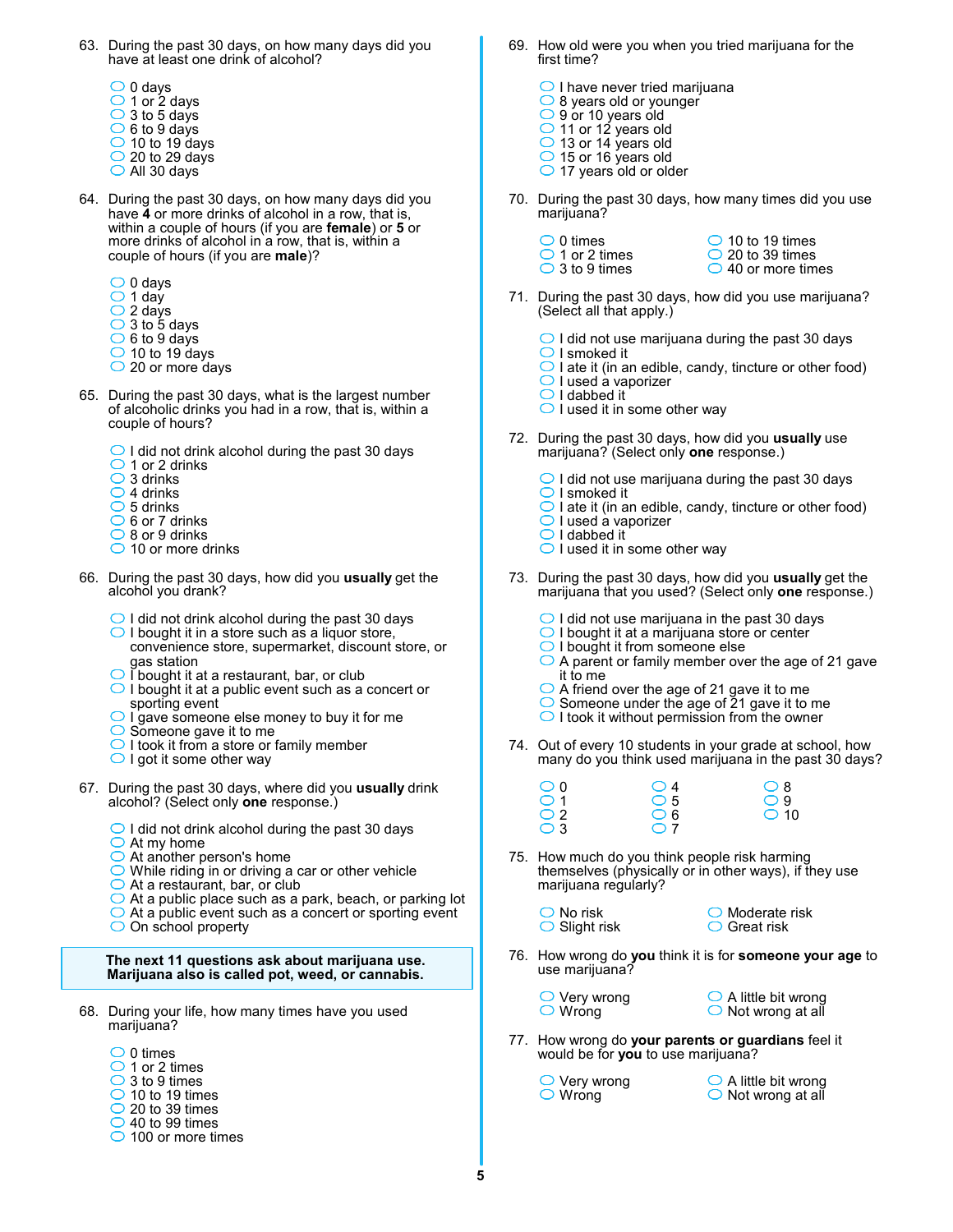- 63. During the past 30 days, on how many days did you have at least one drink of alcohol?
	- $\bigcirc$  0 days  $\bigcirc$  1 or 2 days  $\bigcirc$  3 to 5 days  $\overline{\bigcirc}$  6 to 9 days  $\bigcirc$  10 to 19 days  $\bigcirc$  20 to 29 days All 30 days
- 64. During the past 30 days, on how many days did you have **4** or more drinks of alcohol in a row, that is, within a couple of hours (if you are **female**) or **5** or more drinks of alcohol in a row, that is, within a couple of hours (if you are **male**)?
	- $\bigcirc$  0 days
	- $\bigcirc$  1 day
	- $\bigcirc$  2 days
	- $\overline{O}$  3 to 5 days
	- $\bigcirc$  6 to 9 days
	- $\bigcirc$  10 to 19 days
	- $\bigcirc$  20 or more days
- 65. During the past 30 days, what is the largest number of alcoholic drinks you had in a row, that is, within a couple of hours?
	- $\bigcirc$  I did not drink alcohol during the past 30 days
	- $\bigcirc$  1 or 2 drinks
	- $\bigcirc$  3 drinks
	- $\bigcirc$  4 drinks
	- $\bigcirc$  5 drinks
	- $\bigcirc$  6 or 7 drinks
	- $\bigcirc$  8 or 9 drinks
	- $\bigcirc$  10 or more drinks
- 66. During the past 30 days, how did you **usually** get the alcohol you drank?
	- $\bigcirc$  I did not drink alcohol during the past 30 days
	- $\bigcirc$  I bought it in a store such as a liquor store, convenience store, supermarket, discount store, or gas station
	- I bought it at a restaurant, bar, or club
	- $\bigcirc$  I bought it at a public event such as a concert or sporting event
	- $\bigcirc$  I gave someone else money to buy it for me
	- $\bigcirc$  Someone gave it to me
	- $\bigcirc$  I took it from a store or family member
	- $\bigcirc$  I got it some other way
- 67. During the past 30 days, where did you **usually** drink alcohol? (Select only **one** response.)
	- $\bigcirc$  I did not drink alcohol during the past 30 days
	- $\bigcirc$  At my home
	- $\bigcirc$  At another person's home
	- While riding in or driving a car or other vehicle
	- $\bigcirc$  At a restaurant, bar, or club
	- $\bigcirc$  At a public place such as a park, beach, or parking lot
	- $\bigcirc$  At a public event such as a concert or sporting event
	- $\bigcirc$  On school property
	- **The next 11 questions ask about marijuana use. Marijuana also is called pot, weed, or cannabis.**
- 68. During your life, how many times have you used marijuana?
	- $\bigcirc$  0 times
	- $\bigcirc$  1 or 2 times
	- $\overline{\bigcirc}$  3 to 9 times
	- $\bigcirc$  10 to 19 times
	- $\bigcirc$  20 to 39 times
	- $\bigcirc$  40 to 99 times  $\bigcirc$  100 or more times
- 69. How old were you when you tried marijuana for the first time?
	- $\bigcirc$  I have never tried marijuana ◯ 8 years old or younger 9 or 10 years old 11 or 12 years old  $\bigcirc$  13 or 14 years old 15 or 16 years old  $\bigcirc$  17 years old or older
- 70. During the past 30 days, how many times did you use marijuana?
	- $\bigcirc$  0 times
- $\bigcirc$  10 to 19 times  $\bigcirc$  20 to 39 times
- ◯ 40 or more times
- 71. During the past 30 days, how did you use marijuana? (Select all that apply.)
	- $\bigcirc$  I did not use marijuana during the past 30 days
	- $\bigcirc$  I smoked it

 $\bigcirc$  1 or 2 times ◯ 3 to 9 times

- $\overline{\bigcirc}$  I ate it (in an edible, candy, tincture or other food)
- $\bigcirc$  I used a vaporizer  $\bigcirc$  I dabbed it
- $\bigcirc$  I used it in some other way
- 72. During the past 30 days, how did you **usually** use marijuana? (Select only **one** response.)
	- $\bigcirc$  I did not use marijuana during the past 30 days
	- $\bigcirc$  I smoked it
	- $\bigcirc$  I ate it (in an edible, candy, tincture or other food)
	- $\bigcirc$  I used a vaporizer
	- $\bigcirc$  I dabbed it  $\bigcirc$  I used it in some other way
- 73. During the past 30 days, how did you **usually** get the marijuana that you used? (Select only **one** response.)
	- $\bigcirc$  I did not use marijuana in the past 30 days
	- $\bigcirc$  I bought it at a marijuana store or center
	- O I bought it from someone else
	- $\bigcirc$  A parent or family member over the age of 21 gave it to me
	- A friend over the age of 21 gave it to me
	- Someone under the age of 21 gave it to me
	- $\bigcirc$  I took it without permission from the owner
- 74. Out of every 10 students in your grade at school, how many do you think used marijuana in the past 30 days?

| $\bigcirc$ 0 | $\bigcirc$ 4 | $\bigcirc$ 8  |
|--------------|--------------|---------------|
| $\bigcirc$ 1 | $\circ$ 5    | $\bigcirc$ 9  |
| $\bigcirc$ 2 | $\bigcirc$ 6 | $\bigcirc$ 10 |
| $\bigcirc$ 3 | $\bigcirc$ 7 |               |

- 75. How much do you think people risk harming themselves (physically or in other ways), if they use marijuana regularly?
	- $\bigcirc$  No risk  $\bigcirc$  Slight risk
- $\bigcirc$  Moderate risk  $\bigcirc$  Great risk
- 76. How wrong do **you** think it is for **someone your age** to use marijuana?
	- $\bigcirc$  Very wrong  $\bigcirc$  Wrong
- $\bigcirc$  A little bit wrong  $\bigcirc$  Not wrong at all
- 77. How wrong do **your parents or guardians** feel it would be for **you** to use marijuana?
	- $\bigcirc$  Very wrong Wrong
- A little bit wrong ◯ Not wrong at all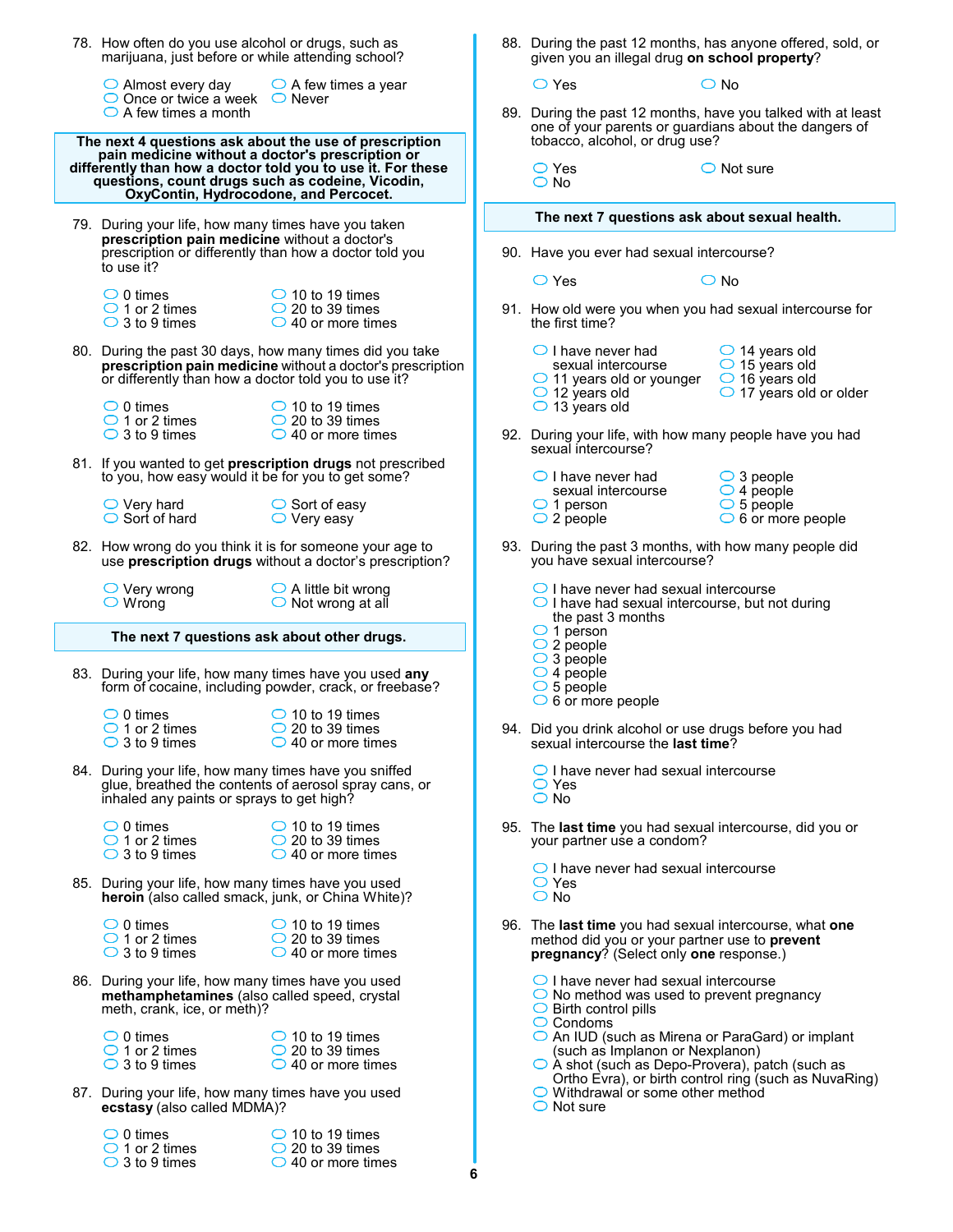| 78. How often do you use alcohol or drugs, such as<br>marijuana, just before or while attending school?                                       |                                                                                                                        |   | 88. During the past 12 months, has anyone offered, sold, or<br>given you an illegal drug on school property?                                                          |                                                                                                                   |  |  |  |
|-----------------------------------------------------------------------------------------------------------------------------------------------|------------------------------------------------------------------------------------------------------------------------|---|-----------------------------------------------------------------------------------------------------------------------------------------------------------------------|-------------------------------------------------------------------------------------------------------------------|--|--|--|
| $\bigcirc$ Almost every day                                                                                                                   | $\bigcirc$ A few times a year                                                                                          |   | $\bigcirc$ Yes                                                                                                                                                        | $\bigcirc$ No                                                                                                     |  |  |  |
| $\bigcirc$ Once or twice a week $\bigcirc$ Never<br>$\bigcirc$ A few times a month                                                            | The next 4 questions ask about the use of prescription                                                                 |   | 89. During the past 12 months, have you talked with at least<br>one of your parents or guardians about the dangers of<br>tobacco, alcohol, or drug use?               |                                                                                                                   |  |  |  |
| pain medicine without a doctor's prescription or<br>questions, count drugs such as codeine, Vicodin,<br>OxyContin, Hydrocodone, and Percocet. | differently than how a doctor told you to use it. For these                                                            |   | $\bigcirc$ Yes<br>$\bigcirc$ No                                                                                                                                       | $\bigcirc$ Not sure                                                                                               |  |  |  |
| 79. During your life, how many times have you taken                                                                                           |                                                                                                                        |   | The next 7 questions ask about sexual health.                                                                                                                         |                                                                                                                   |  |  |  |
| prescription pain medicine without a doctor's                                                                                                 | prescription or differently than how a doctor told you                                                                 |   | 90. Have you ever had sexual intercourse?                                                                                                                             |                                                                                                                   |  |  |  |
| to use it?                                                                                                                                    |                                                                                                                        |   | $\bigcirc$ Yes                                                                                                                                                        | $\bigcirc$ No                                                                                                     |  |  |  |
| $\bigcirc$ 0 times<br>$\bigcirc$ 1 or 2 times<br>$\bigcirc$ 3 to 9 times                                                                      | $\bigcirc$ 10 to 19 times<br>$\bigcirc$ 20 to 39 times<br>$\bigcirc$ 40 or more times                                  |   | 91. How old were you when you had sexual intercourse for<br>the first time?                                                                                           |                                                                                                                   |  |  |  |
| or differently than how a doctor told you to use it?                                                                                          | 80. During the past 30 days, how many times did you take<br>prescription pain medicine without a doctor's prescription |   | $\bigcirc$ I have never had<br>sexual intercourse<br>$\bigcirc$ 11 years old or younger<br>$\bigcirc$ 12 years old                                                    | $\bigcirc$ 14 years old<br>$\bigcirc$ 15 years old<br>$\bigcirc$ 16 years old<br>$\bigcirc$ 17 years old or older |  |  |  |
| $\bigcirc$ 0 times<br>$\bigcirc$ 1 or 2 times<br>$\bigcirc$ 3 to 9 times                                                                      | $\bigcirc$ 10 to 19 times<br>$\bigcirc$ 20 to 39 times<br>$\bigcirc$ 40 or more times                                  |   | $\bigcirc$ 13 years old<br>92. During your life, with how many people have you had                                                                                    |                                                                                                                   |  |  |  |
| to you, how easy would it be for you to get some?                                                                                             | 81. If you wanted to get <b>prescription drugs</b> not prescribed                                                      |   | sexual intercourse?<br>$\bigcirc$ I have never had                                                                                                                    | $\bigcirc$ 3 people                                                                                               |  |  |  |
| $\bigcirc$ Very hard<br>$\bigcirc$ Sort of hard                                                                                               | ◯ Sort of easy<br>$\bigcirc$ Very easy                                                                                 |   | sexual intercourse<br>$\bigcirc$ 1 person<br>$\bigcirc$ 2 people                                                                                                      | $\bigcirc$ 4 people<br>$\circ$ 5 people<br>$\bigcirc$ 6 or more people                                            |  |  |  |
|                                                                                                                                               | 82. How wrong do you think it is for someone your age to<br>use prescription drugs without a doctor's prescription?    |   | 93. During the past 3 months, with how many people did<br>you have sexual intercourse?                                                                                |                                                                                                                   |  |  |  |
| $\bigcirc$ Very wrong<br>$\bigcirc$ Wrong                                                                                                     | $\bigcirc$ A little bit wrong<br>$\bigcirc$ Not wrong at all                                                           |   | $\bigcirc$ I have never had sexual intercourse<br>$\bigcirc$ I have had sexual intercourse, but not during<br>the past 3 months                                       |                                                                                                                   |  |  |  |
| The next 7 questions ask about other drugs.                                                                                                   |                                                                                                                        |   | $\bigcirc$ 1 person<br>$\bigcirc$ 2 people                                                                                                                            |                                                                                                                   |  |  |  |
|                                                                                                                                               | 83. During your life, how many times have you used any<br>form of cocaine, including powder, crack, or freebase?       |   | $\bigcirc$ 3 people<br>$\bigcirc$ 4 people<br>$\circ$ 5 people<br>$\circ$ 6 or more people                                                                            |                                                                                                                   |  |  |  |
| $\bigcirc$ 0 times<br>$\bigcirc$ 1 or 2 times<br>$\bigcirc$ 3 to 9 times                                                                      | $\bigcirc$ 10 to 19 times<br>$\bigcirc$ 20 to 39 times<br>$\bigcirc$ 40 or more times                                  |   | 94. Did you drink alcohol or use drugs before you had<br>sexual intercourse the last time?                                                                            |                                                                                                                   |  |  |  |
| 84. During your life, how many times have you sniffed<br>inhaled any paints or sprays to get high?                                            | glue, breathed the contents of aerosol spray cans, or                                                                  |   | $\bigcirc$ I have never had sexual intercourse<br>$\bigcirc$ Yes<br>$\bigcirc$ No                                                                                     |                                                                                                                   |  |  |  |
| $\bigcirc$ 0 times<br>$\bigcirc$ 1 or 2 times<br>$\bigcirc$ 3 to 9 times                                                                      | $\bigcirc$ 10 to 19 times<br>$\bigcirc$ 20 to 39 times<br>$\bigcirc$ 40 or more times                                  |   | 95. The last time you had sexual intercourse, did you or<br>your partner use a condom?                                                                                |                                                                                                                   |  |  |  |
| 85. During your life, how many times have you used<br>heroin (also called smack, junk, or China White)?                                       |                                                                                                                        |   | $\bigcirc$ I have never had sexual intercourse<br>$\bigcirc$ Yes<br>$\bigcirc$ No                                                                                     |                                                                                                                   |  |  |  |
| $\bigcirc$ 0 times<br>$\bigcirc$ 1 or 2 times<br>$\bigcirc$ 3 to 9 times                                                                      | $\bigcirc$ 10 to 19 times<br>$\bigcirc$ 20 to 39 times<br>$\bigcirc$ 40 or more times                                  |   | 96. The last time you had sexual intercourse, what one<br>method did you or your partner use to prevent<br>pregnancy? (Select only one response.)                     |                                                                                                                   |  |  |  |
| 86. During your life, how many times have you used<br>methamphetamines (also called speed, crystal<br>meth, crank, ice, or meth)?             |                                                                                                                        |   | $\bigcirc$ I have never had sexual intercourse<br>$\bigcirc$ No method was used to prevent pregnancy<br>$\bigcirc$ Birth control pills                                |                                                                                                                   |  |  |  |
| $\bigcirc$ 0 times<br>$\bigcirc$ 1 or 2 times<br>$\bigcirc$ 3 to 9 times                                                                      | $\bigcirc$ 10 to 19 times<br>$\bigcirc$ 20 to 39 times<br>$\bigcirc$ 40 or more times                                  |   | $\bigcirc$ Condoms<br>O An IUD (such as Mirena or ParaGard) or implant<br>(such as Implanon or Nexplanon)<br>$\bigcirc$ A shot (such as Depo-Provera), patch (such as |                                                                                                                   |  |  |  |
| 87. During your life, how many times have you used<br>ecstasy (also called MDMA)?                                                             |                                                                                                                        |   | $\circ$ Withdrawal or some other method<br>$\bigcirc$ Not sure                                                                                                        | Ortho Evra), or birth control ring (such as NuvaRing)                                                             |  |  |  |
| $\bigcirc$ 0 times<br>$\bigcirc$ 1 or 2 times<br>$\bigcirc$ 3 to 9 times                                                                      | $\bigcirc$ 10 to 19 times<br>$\bigcirc$ 20 to 39 times<br>$\bigcirc$ 40 or more times                                  | 6 |                                                                                                                                                                       |                                                                                                                   |  |  |  |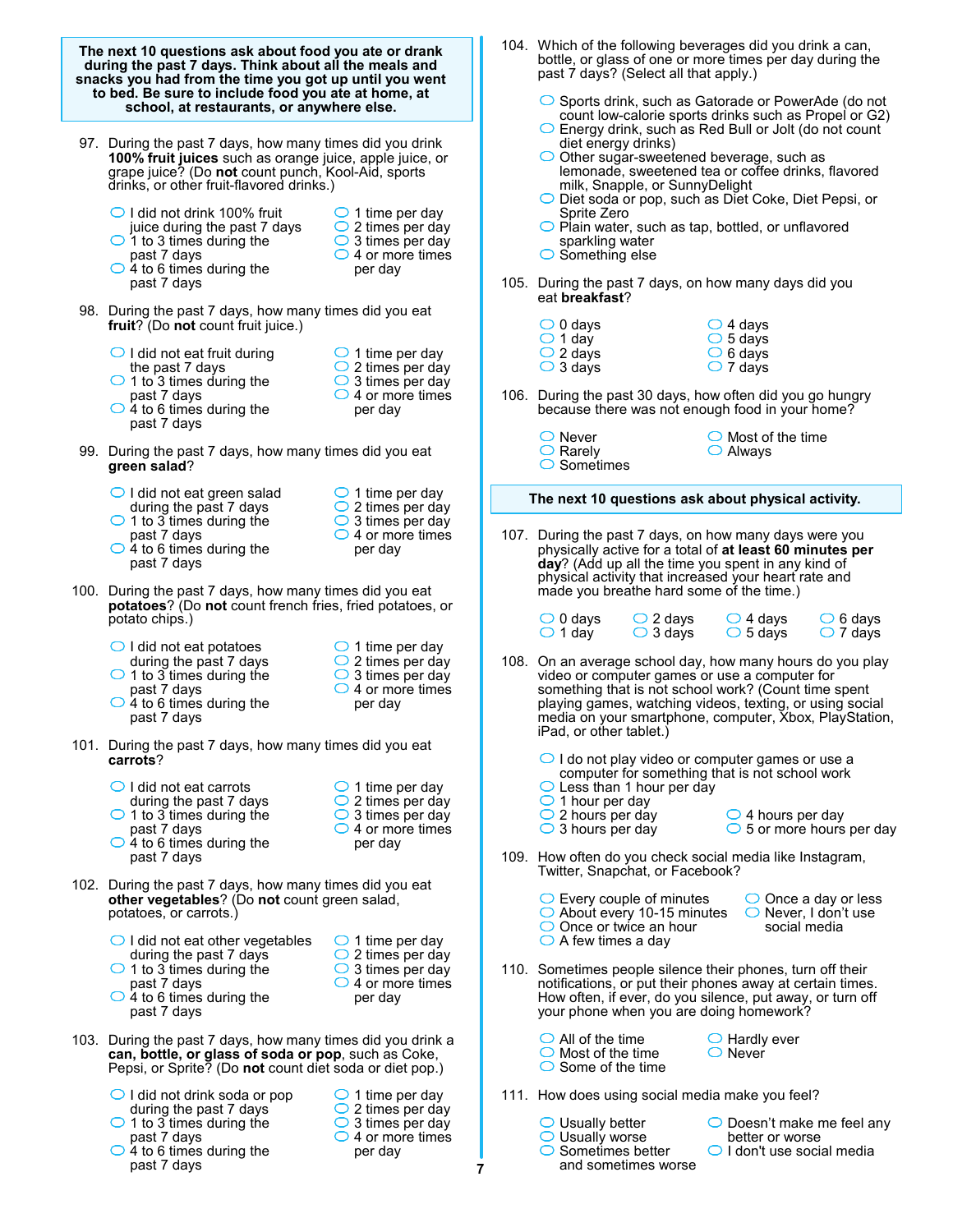| The next 10 questions ask about food you ate or drank<br>during the past 7 days. Think about all the meals and<br>snacks you had from the time you got up until you went<br>to bed. Be sure to include food you ate at home, at<br>school, at restaurants, or anywhere else. |                                                                                                                                                                               |                                                                                                                                | 104. Which of the following beverages did you drink a can,<br>bottle, or glass of one or more times per day during the<br>past 7 days? (Select all that apply.)<br>$\circ$ Sports drink, such as Gatorade or PowerAde (do not<br>count low-calorie sports drinks such as Propel or G2)                                                                                      |  |  |  |  |  |
|------------------------------------------------------------------------------------------------------------------------------------------------------------------------------------------------------------------------------------------------------------------------------|-------------------------------------------------------------------------------------------------------------------------------------------------------------------------------|--------------------------------------------------------------------------------------------------------------------------------|-----------------------------------------------------------------------------------------------------------------------------------------------------------------------------------------------------------------------------------------------------------------------------------------------------------------------------------------------------------------------------|--|--|--|--|--|
| 97. During the past 7 days, how many times did you drink<br>100% fruit juices such as orange juice, apple juice, or<br>grape juice? (Do not count punch, Kool-Aid, sports<br>drinks, or other fruit-flavored drinks.)                                                        |                                                                                                                                                                               |                                                                                                                                | $\bigcirc$ Energy drink, such as Red Bull or Jolt (do not count<br>diet energy drinks)<br>$\bigcirc$ Other sugar-sweetened beverage, such as<br>lemonade, sweetened tea or coffee drinks, flavored<br>milk, Snapple, or SunnyDelight<br>O Diet soda or pop, such as Diet Coke, Diet Pepsi, or                                                                               |  |  |  |  |  |
|                                                                                                                                                                                                                                                                              | ◯ I did not drink 100% fruit<br>juice during the past 7 days<br>$\bigcirc$ 1 to 3 times during the<br>past 7 days<br>$\bigcirc$ 4 to 6 times during the<br>past 7 days        | $\bigcirc$ 1 time per day<br>$\bigcirc$ 2 times per day<br>$\bigcirc$ 3 times per day<br>$\bigcirc$ 4 or more times<br>per day | Sprite Zero<br>$\bigcirc$ Plain water, such as tap, bottled, or unflavored<br>sparkling water<br>$\bigcirc$ Something else                                                                                                                                                                                                                                                  |  |  |  |  |  |
|                                                                                                                                                                                                                                                                              | 98. During the past 7 days, how many times did you eat<br>fruit? (Do not count fruit juice.)                                                                                  |                                                                                                                                | 105. During the past 7 days, on how many days did you<br>eat breakfast?<br>$\bigcirc$ 4 days<br>$\bigcirc$ 0 days                                                                                                                                                                                                                                                           |  |  |  |  |  |
|                                                                                                                                                                                                                                                                              | $\bigcirc$ I did not eat fruit during<br>the past 7 days                                                                                                                      | $\bigcirc$ 1 time per day<br>$\bigcirc$ 2 times per day                                                                        | $\bigcirc$ 1 day<br>$\circ$ 5 days<br>$\bigcirc$ 2 days<br>$\bigcirc$ 6 days<br>$\bigcirc$ 7 days<br>$\bigcirc$ 3 days                                                                                                                                                                                                                                                      |  |  |  |  |  |
|                                                                                                                                                                                                                                                                              | $\bigcirc$ 1 to 3 times during the<br>past 7 days<br>$\bigcirc$ 4 to 6 times during the<br>past 7 days                                                                        | $\bigcirc$ 3 times per day<br>$\bigcirc$ 4 or more times<br>per day                                                            | 106. During the past 30 days, how often did you go hungry<br>because there was not enough food in your home?                                                                                                                                                                                                                                                                |  |  |  |  |  |
|                                                                                                                                                                                                                                                                              | 99. During the past 7 days, how many times did you eat<br>green salad?                                                                                                        |                                                                                                                                | $\bigcirc$ Never<br>$\bigcirc$ Most of the time<br>$\bigcirc$ Rarely<br>$\bigcirc$ Always<br>$\circ$ Sometimes                                                                                                                                                                                                                                                              |  |  |  |  |  |
|                                                                                                                                                                                                                                                                              | $\bigcirc$ I did not eat green salad<br>during the past 7 days                                                                                                                | $\bigcirc$ 1 time per day<br>$\bigcirc$ 2 times per day<br>$\bigcirc$ 3 times per day<br>$\bigcirc$ 4 or more times<br>per day | The next 10 questions ask about physical activity.                                                                                                                                                                                                                                                                                                                          |  |  |  |  |  |
|                                                                                                                                                                                                                                                                              | $\bigcirc$ 1 to 3 times during the<br>past 7 days<br>$\bigcirc$ 4 to 6 times during the<br>past 7 days                                                                        |                                                                                                                                | 107. During the past 7 days, on how many days were you<br>physically active for a total of at least 60 minutes per<br>day? (Add up all the time you spent in any kind of<br>physical activity that increased your heart rate and                                                                                                                                            |  |  |  |  |  |
|                                                                                                                                                                                                                                                                              | 100. During the past 7 days, how many times did you eat<br>potatoes? (Do not count french fries, fried potatoes, or<br>potato chips.)                                         |                                                                                                                                | made you breathe hard some of the time.)<br>$\bigcirc$ 4 days<br>$\bigcirc$ 6 days<br>$\bigcirc$ 0 days<br>$\bigcirc$ 2 days                                                                                                                                                                                                                                                |  |  |  |  |  |
|                                                                                                                                                                                                                                                                              | $\bigcirc$ I did not eat potatoes<br>during the past 7 days<br>$\bigcirc$ 1 to 3 times during the<br>past 7 days<br>$\bigcirc$ 4 to 6 times during the<br>past 7 days         | $\bigcirc$ 1 time per day<br>$\bigcirc$ 2 times per day<br>$\bigcirc$ 3 times per day<br>$\bigcirc$ 4 or more times<br>per day | $\bigcirc$ 1 day<br>$\bigcirc$ 3 days<br>$\bigcirc$ 5 days<br>$\bigcirc$ 7 days<br>108. On an average school day, how many hours do you play<br>video or computer games or use a computer for<br>something that is not school work? (Count time spent<br>playing games, watching videos, texting, or using social<br>media on your smartphone, computer, Xbox, PlayStation, |  |  |  |  |  |
|                                                                                                                                                                                                                                                                              | 101. During the past 7 days, how many times did you eat<br>carrots?                                                                                                           |                                                                                                                                | iPad, or other tablet.)<br>$\bigcirc$ I do not play video or computer games or use a                                                                                                                                                                                                                                                                                        |  |  |  |  |  |
|                                                                                                                                                                                                                                                                              | $\bigcirc$ I did not eat carrots<br>during the past 7 days<br>$\bigcirc$ 1 to 3 times during the<br>past 7 days<br>$\bigcirc$ 4 to 6 times during the                         | $\bigcirc$ 1 time per day<br>$\bigcirc$ 2 times per day<br>$\bigcirc$ 3 times per day<br>$\bigcirc$ 4 or more times<br>per day | computer for something that is not school work<br>$\bigcirc$ Less than 1 hour per day<br>$\bigcirc$ 1 hour per day<br>$\bigcirc$ 2 hours per day<br>$\bigcirc$ 4 hours per day<br>$\bigcirc$ 3 hours per day<br>$\circ$ 5 or more hours per day                                                                                                                             |  |  |  |  |  |
|                                                                                                                                                                                                                                                                              | past 7 days                                                                                                                                                                   |                                                                                                                                | 109. How often do you check social media like Instagram,<br>Twitter, Snapchat, or Facebook?                                                                                                                                                                                                                                                                                 |  |  |  |  |  |
|                                                                                                                                                                                                                                                                              | 102. During the past 7 days, how many times did you eat<br>other vegetables? (Do not count green salad,<br>potatoes, or carrots.)                                             |                                                                                                                                | $\circ$ Every couple of minutes<br>$\bigcirc$ Once a day or less<br>$\circ$ About every 10-15 minutes<br>$\bigcirc$ Never, I don't use<br>$\bigcirc$ Once or twice an hour<br>social media                                                                                                                                                                                  |  |  |  |  |  |
|                                                                                                                                                                                                                                                                              | $\bigcirc$ I did not eat other vegetables<br>during the past 7 days<br>$\bigcirc$ 1 to 3 times during the<br>past 7 days<br>$\bigcirc$ 4 to 6 times during the<br>past 7 days | $\bigcirc$ 1 time per day<br>$\bigcirc$ 2 times per day<br>$\bigcirc$ 3 times per day<br>$\bigcirc$ 4 or more times<br>per day | $\bigcirc$ A few times a day<br>110. Sometimes people silence their phones, turn off their<br>notifications, or put their phones away at certain times.<br>How often, if ever, do you silence, put away, or turn off<br>your phone when you are doing homework?                                                                                                             |  |  |  |  |  |
|                                                                                                                                                                                                                                                                              | 103. During the past 7 days, how many times did you drink a<br>can, bottle, or glass of soda or pop, such as Coke,<br>Pepsi, or Sprite? (Do not count diet soda or diet pop.) |                                                                                                                                | $\bigcirc$ All of the time<br>$\bigcirc$ Hardly ever<br>$\bigcirc$ Never<br>$\bigcirc$ Most of the time<br>$\bigcirc$ Some of the time                                                                                                                                                                                                                                      |  |  |  |  |  |
|                                                                                                                                                                                                                                                                              | $\bigcirc$ I did not drink soda or pop<br>during the past 7 days<br>$\bigcirc$ 1 to 3 times during the<br>past 7 days<br>$\bigcirc$ 4 to 6 times during the<br>past 7 days    | $\bigcirc$ 1 time per day<br>$\bigcirc$ 2 times per day<br>$\bigcirc$ 3 times per day<br>$\bigcirc$ 4 or more times<br>per day | 111. How does using social media make you feel?<br>$\bigcirc$ Usually better<br>$\bigcirc$ Doesn't make me feel any<br>$\bigcirc$ Usually worse<br>better or worse<br>$\circ$ Sometimes better<br>$\bigcirc$ I don't use social media<br>and sometimes worse<br>7                                                                                                           |  |  |  |  |  |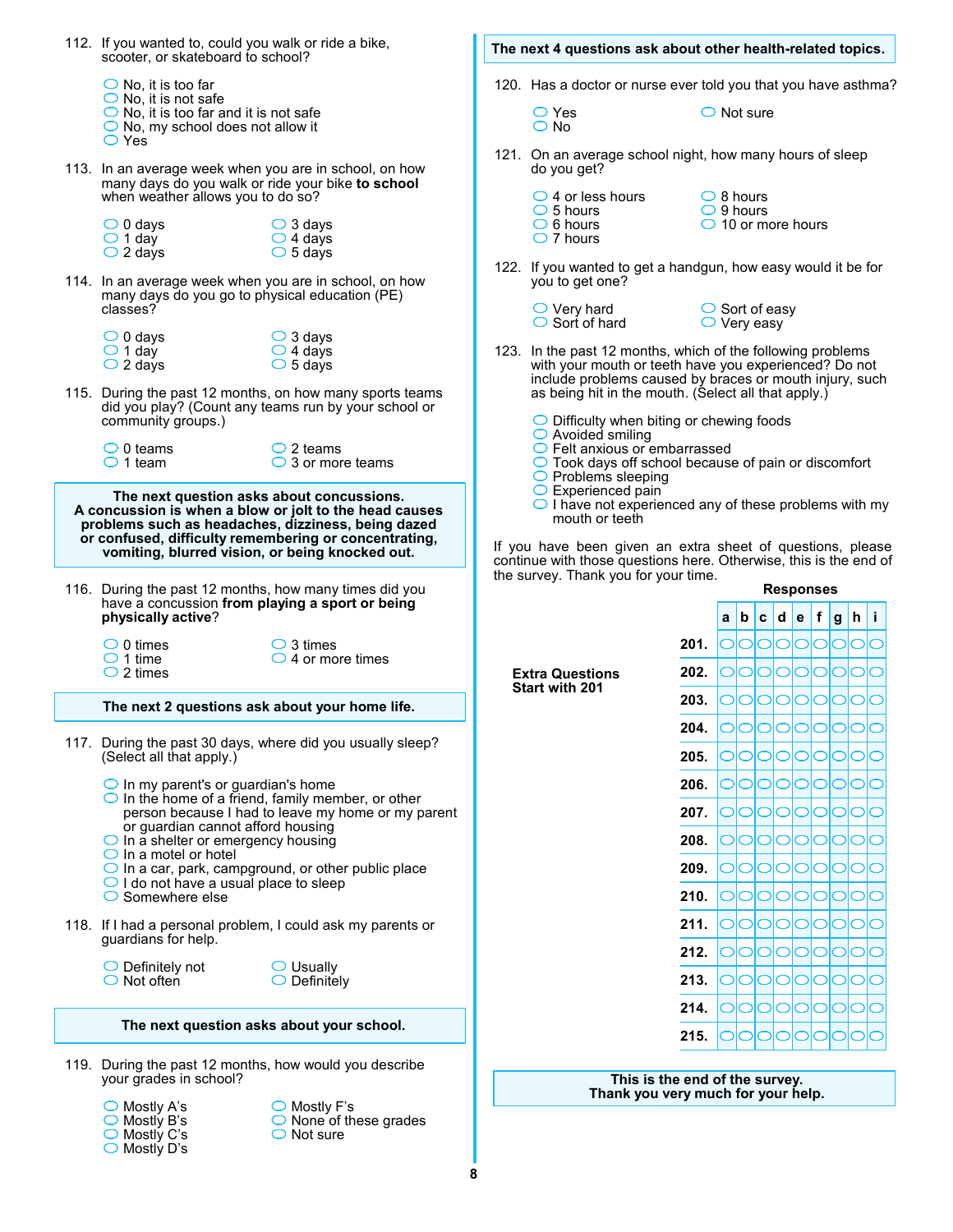| scooter, or skateboard to school?                                                                               | 112. If you wanted to, could you walk or ride a bike,                                                                                                                                                                                                                                                                           |  | The next 4 questions ask about other health-related topics.                                                                                                                                                                                                  |                                |                                          |                                              |  |                  |         |              |
|-----------------------------------------------------------------------------------------------------------------|---------------------------------------------------------------------------------------------------------------------------------------------------------------------------------------------------------------------------------------------------------------------------------------------------------------------------------|--|--------------------------------------------------------------------------------------------------------------------------------------------------------------------------------------------------------------------------------------------------------------|--------------------------------|------------------------------------------|----------------------------------------------|--|------------------|---------|--------------|
| $\bigcirc$ No, it is too far<br>$\bigcirc$ No, it is not safe                                                   |                                                                                                                                                                                                                                                                                                                                 |  | 120. Has a doctor or nurse ever told you that you have asthma?                                                                                                                                                                                               |                                |                                          |                                              |  |                  |         |              |
| $\bigcirc$ No, it is too far and it is not safe<br>$\bigcirc$ No, my school does not allow it<br>$\bigcirc$ Yes |                                                                                                                                                                                                                                                                                                                                 |  | $\bigcirc$ Yes<br>$\bigcirc$ No                                                                                                                                                                                                                              |                                |                                          | $\bigcirc$ Not sure                          |  |                  |         |              |
|                                                                                                                 | 113. In an average week when you are in school, on how<br>many days do you walk or ride your bike to school                                                                                                                                                                                                                     |  | 121. On an average school night, how many hours of sleep<br>do you get?                                                                                                                                                                                      |                                |                                          |                                              |  |                  |         |              |
| when weather allows you to do so?                                                                               |                                                                                                                                                                                                                                                                                                                                 |  | $\bigcirc$ 4 or less hours<br>$\bigcirc$ 5 hours                                                                                                                                                                                                             |                                | $\bigcirc$ 8 hours<br>$\bigcirc$ 9 hours |                                              |  |                  |         |              |
| $\bigcirc$ 0 days<br>$\bigcirc$ 1 day<br>$\bigcirc$ 2 days                                                      | $\bigcirc$ 3 days<br>$\bigcirc$ 4 days<br>$\circ$ 5 days                                                                                                                                                                                                                                                                        |  | $\bigcirc$ 6 hours<br>$\bigcirc$ 7 hours                                                                                                                                                                                                                     |                                |                                          | $\bigcirc$ 10 or more hours                  |  |                  |         |              |
| classes?                                                                                                        | 114. In an average week when you are in school, on how<br>many days do you go to physical education (PE)                                                                                                                                                                                                                        |  | 122. If you wanted to get a handgun, how easy would it be for<br>you to get one?                                                                                                                                                                             |                                |                                          |                                              |  |                  |         |              |
|                                                                                                                 |                                                                                                                                                                                                                                                                                                                                 |  | $\bigcirc$ Very hard<br>$\bigcirc$ Sort of hard                                                                                                                                                                                                              |                                |                                          | $\circ$ Sort of easy<br>$\bigcirc$ Very easy |  |                  |         |              |
| $\bigcirc$ 0 days<br>$\bigcirc$ 1 day                                                                           | $\bigcirc$ 3 days<br>$\bigcirc$ 4 days                                                                                                                                                                                                                                                                                          |  | 123. In the past 12 months, which of the following problems                                                                                                                                                                                                  |                                |                                          |                                              |  |                  |         |              |
| $\bigcirc$ 2 days                                                                                               | $\circ$ 5 days<br>115. During the past 12 months, on how many sports teams                                                                                                                                                                                                                                                      |  | with your mouth or teeth have you experienced? Do not<br>include problems caused by braces or mouth injury, such<br>as being hit in the mouth. (Select all that apply.)                                                                                      |                                |                                          |                                              |  |                  |         |              |
| community groups.)                                                                                              | did you play? (Count any teams run by your school or                                                                                                                                                                                                                                                                            |  | $\bigcirc$ Difficulty when biting or chewing foods<br>$\bigcirc$ Avoided smiling                                                                                                                                                                             |                                |                                          |                                              |  |                  |         |              |
| $\bigcirc$ 0 teams<br>$\bigcirc$ 1 team                                                                         | $\bigcirc$ 2 teams<br>$\bigcirc$ 3 or more teams                                                                                                                                                                                                                                                                                |  | $\bigcirc$ Felt anxious or embarrassed<br>◯ Took days off school because of pain or discomfort<br>$\bigcirc$ Problems sleeping                                                                                                                               |                                |                                          |                                              |  |                  |         |              |
|                                                                                                                 | The next question asks about concussions.<br>A concussion is when a blow or jolt to the head causes<br>problems such as headaches, dizziness, being dazed<br>or confused, difficulty remembering or concentrating,<br>vomiting, blurred vision, or being knocked out.<br>116. During the past 12 months, how many times did you |  | $\bigcirc$ I have not experienced any of these problems with my<br>mouth or teeth<br>If you have been given an extra sheet of questions, please<br>continue with those questions here. Otherwise, this is the end of<br>the survey. Thank you for your time. |                                |                                          |                                              |  | <b>Responses</b> |         |              |
| physically active?                                                                                              | have a concussion from playing a sport or being                                                                                                                                                                                                                                                                                 |  |                                                                                                                                                                                                                                                              |                                | $a \mid b$                               |                                              |  | c d e f          |         | $ g h $ i    |
| $\bigcirc$ 0 times<br>$\bigcirc$ 1 time                                                                         | $\bigcirc$ 3 times<br>$\bigcirc$ 4 or more times                                                                                                                                                                                                                                                                                |  |                                                                                                                                                                                                                                                              | 201.                           |                                          | 00000                                        |  |                  | $\circ$ | Ō<br>C       |
| $\bigcirc$ 2 times                                                                                              |                                                                                                                                                                                                                                                                                                                                 |  | <b>Extra Questions</b><br><b>Start with 201</b>                                                                                                                                                                                                              | 202.<br>203.                   |                                          | 00000<br>00000000                            |  |                  | $\circ$ | IО<br>C<br>O |
|                                                                                                                 | The next 2 questions ask about your home life.                                                                                                                                                                                                                                                                                  |  |                                                                                                                                                                                                                                                              |                                |                                          | 000000                                       |  |                  |         |              |
| (Select all that apply.)                                                                                        | 117. During the past 30 days, where did you usually sleep?                                                                                                                                                                                                                                                                      |  |                                                                                                                                                                                                                                                              | 204.<br>205.                   |                                          |                                              |  |                  | IOIO    |              |
| $\bigcirc$ In my parent's or guardian's home                                                                    |                                                                                                                                                                                                                                                                                                                                 |  |                                                                                                                                                                                                                                                              | 206.                           |                                          |                                              |  |                  |         |              |
|                                                                                                                 | $\bigcirc$ In the home of a friend, family member, or other<br>person because I had to leave my home or my parent                                                                                                                                                                                                               |  |                                                                                                                                                                                                                                                              | 207.                           |                                          |                                              |  |                  |         |              |
| or guardian cannot afford housing<br>$\bigcirc$ In a shelter or emergency housing                               |                                                                                                                                                                                                                                                                                                                                 |  |                                                                                                                                                                                                                                                              | 208.                           |                                          |                                              |  |                  |         |              |
| $\bigcirc$ In a motel or hotel                                                                                  | $\bigcirc$ In a car, park, campground, or other public place                                                                                                                                                                                                                                                                    |  |                                                                                                                                                                                                                                                              | 209.                           |                                          |                                              |  |                  |         |              |
| $\bigcirc$ I do not have a usual place to sleep<br>$\bigcirc$ Somewhere else                                    |                                                                                                                                                                                                                                                                                                                                 |  |                                                                                                                                                                                                                                                              | 210.                           |                                          |                                              |  |                  |         |              |
|                                                                                                                 | 118. If I had a personal problem, I could ask my parents or                                                                                                                                                                                                                                                                     |  |                                                                                                                                                                                                                                                              | 211.                           |                                          |                                              |  |                  |         |              |
| guardians for help.                                                                                             |                                                                                                                                                                                                                                                                                                                                 |  |                                                                                                                                                                                                                                                              | 212.                           |                                          |                                              |  |                  |         |              |
| $\bigcirc$ Definitely not<br>$\bigcirc$ Not often                                                               | $\bigcirc$ Usually<br>$\bigcirc$ Definitely                                                                                                                                                                                                                                                                                     |  |                                                                                                                                                                                                                                                              | 213.                           |                                          |                                              |  |                  |         |              |
|                                                                                                                 |                                                                                                                                                                                                                                                                                                                                 |  |                                                                                                                                                                                                                                                              | 214.                           |                                          |                                              |  |                  |         |              |
|                                                                                                                 | The next question asks about your school.                                                                                                                                                                                                                                                                                       |  |                                                                                                                                                                                                                                                              | 215.                           |                                          |                                              |  |                  |         |              |
| your grades in school?                                                                                          | 119. During the past 12 months, how would you describe                                                                                                                                                                                                                                                                          |  |                                                                                                                                                                                                                                                              | This is the end of the survey. |                                          |                                              |  |                  |         |              |
| $\bigcirc$ Mostly A's<br>$\bigcirc$ Mostly B's                                                                  | $\bigcirc$ Mostly F's<br>None of these grades                                                                                                                                                                                                                                                                                   |  | Thank you very much for your help.                                                                                                                                                                                                                           |                                |                                          |                                              |  |                  |         |              |

**8**

Not sure

Mostly C's Mostly D's